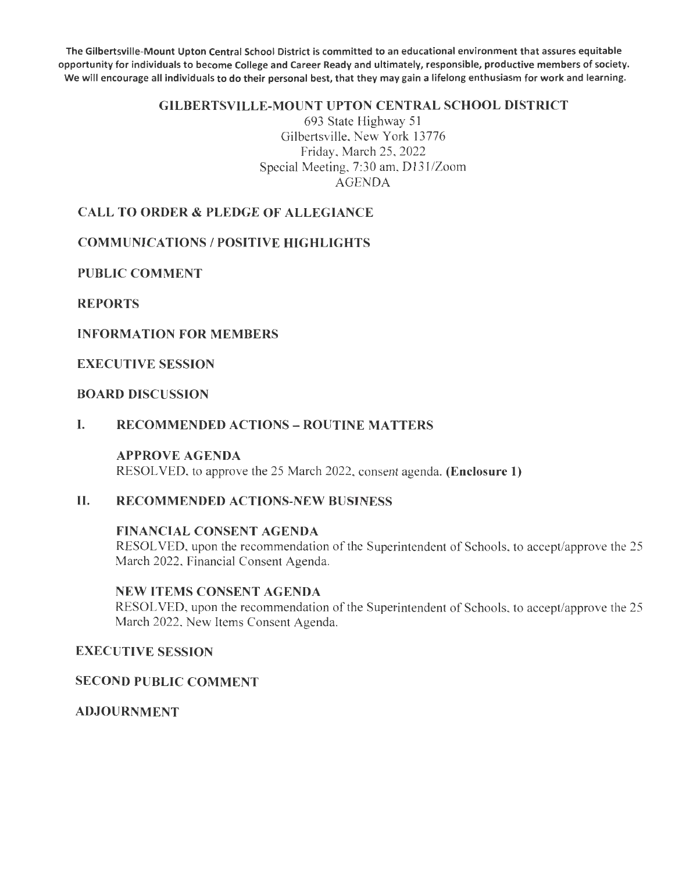The Gilbertsville-Mount Upton Central School District is committed to an educational environment that assures equitable opportunity for individuals to become College and Career Ready and ultimately, responsible, productive members of society. We will encourage all individuals to do their personal best, that they may gain a lifelong enthusiasm for work and learning.

## GILBERTSVILLE-MOUNT UPTON CENTRAL SCHOOL DISTRICT

693 State Highway 51 Gilbertsville, New York 13776 Friday, March 25, 2022 Special Meeting, 7:30 am, 0131/Zoom AGENDA

# CALL TO ORDER & PLEDGE OF ALLEGIANCE

## **COMMUNICATIONS / POSITIVE HIGHLIGHTS**

PUBLIC COMMENT

### REPORTS

#### INFORMATION FOR MEMBERS

EXECUTIVE SESSION

## BOARD DISCUSSION

#### I. RECOMMENDED ACTIONS - ROUTINE MATTERS

#### APPROVE AGENDA

RESOLVED, to approve the 25 March 2022, consent agenda. (Enclosure 1)

## II. RECOMMENDED ACTIONS-NEW BUSINESS

#### FINANCIAL CONSENT AGENDA RESOLVED, upon the recommendation of the Superintendent of Schools, to accept/approve the 25

March 2022, Financial Consent Agenda.

#### NEW ITEMS CONSENT AGENDA

RESOLVED, upon the recommendation of the Superintendent of Schools, to accept/approve the 25 March 2022, New Items Consent Agenda.

## EXECUTIVE SESSION

#### SECOND PUBLIC COMMENT

ADJOURNMENT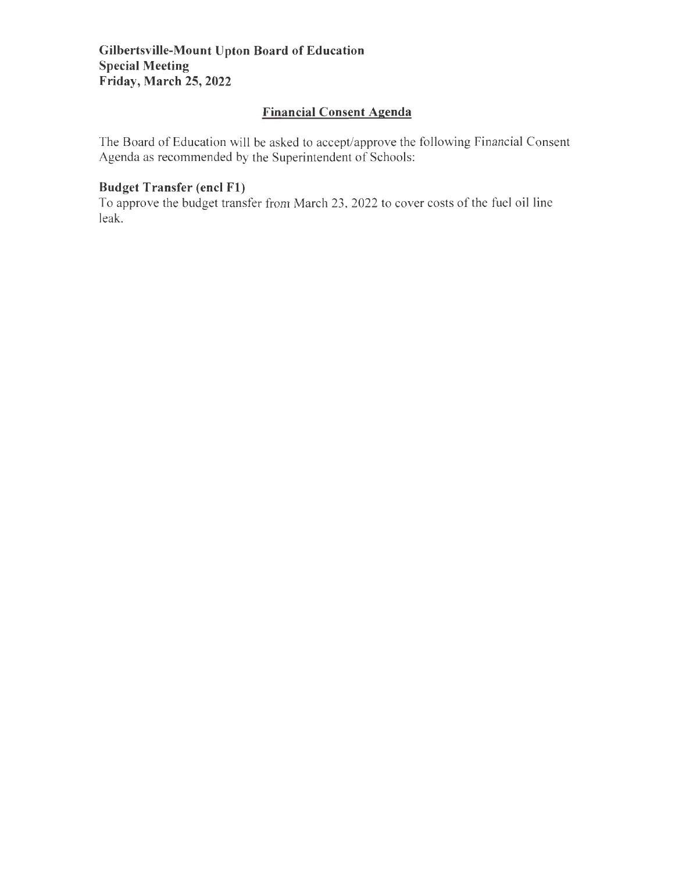# **Financial Consent Agenda**

The Board of Education will be asked to accept/approve the following Financial Consent Agenda as recommended by the Superintendent of Schools:

# **Budget Transfer (encl Fl)**

To approve the budget transfer from March 23 , 2022 to cover costs of the fuel oil line leak.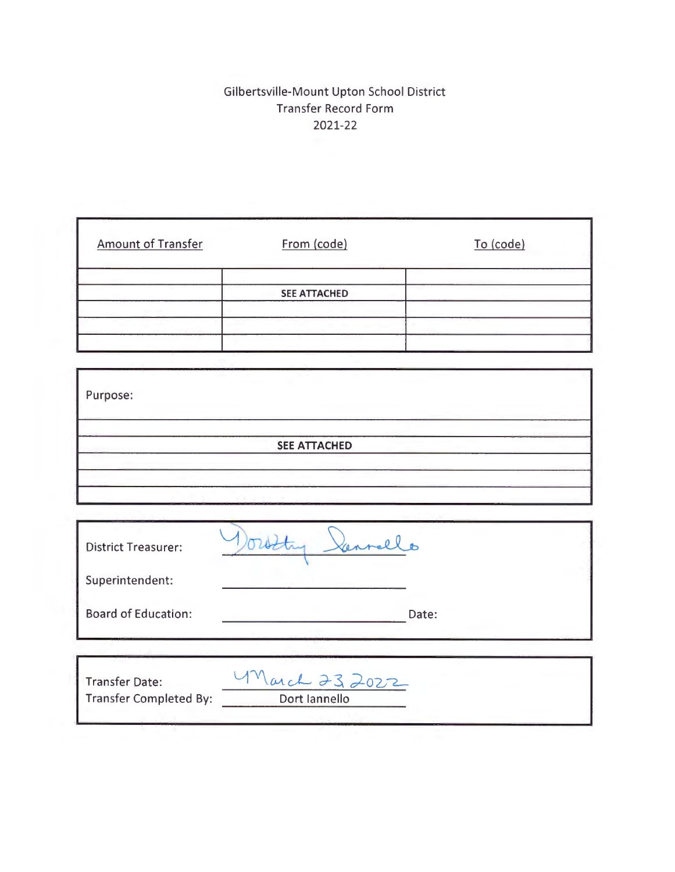# Gilbertsville-Mount Upton School District Transfer Record Form 2021-22

| <b>Amount of Transfer</b>     | From (code)          | To (code) |
|-------------------------------|----------------------|-----------|
|                               | <b>SEE ATTACHED</b>  |           |
|                               |                      |           |
| Purpose:                      |                      |           |
|                               | <b>SEE ATTACHED</b>  |           |
|                               |                      |           |
| <b>District Treasurer:</b>    | Doubty -<br>Vannello |           |
| Superintendent:               |                      |           |
| <b>Board of Education:</b>    |                      | Date:     |
| <b>Transfer Date:</b>         | March 232022         |           |
| <b>Transfer Completed By:</b> | Dort lannello        |           |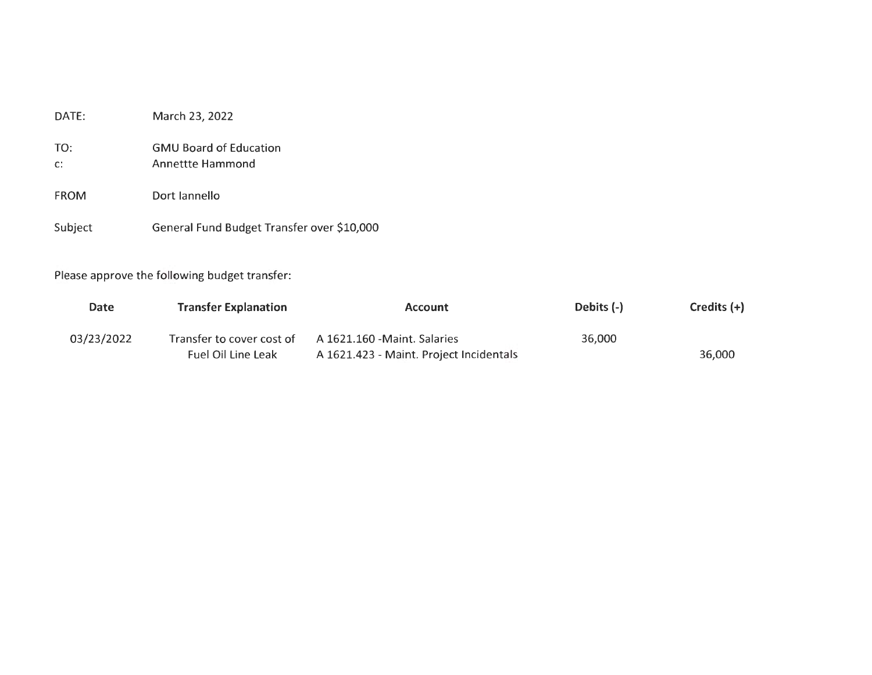| DATE:                 | March 23, 2022                                           |
|-----------------------|----------------------------------------------------------|
| TO:<br>$\mathsf{C}$ : | <b>GMU Board of Education</b><br><b>Annettte Hammond</b> |
| <b>FROM</b>           | Dort Jannello                                            |
| Subject               | General Fund Budget Transfer over \$10,000               |

Please approve the following budget transfer:

| Date       | <b>Transfer Explanation</b> | <b>Account</b>                          | Debits (-) | Credits $(+)$ |
|------------|-----------------------------|-----------------------------------------|------------|---------------|
| 03/23/2022 | Transfer to cover cost of   | A 1621.160 - Maint. Salaries            | 36.000     |               |
|            | <b>Fuel Oil Line Leak</b>   | A 1621.423 - Maint. Project Incidentals |            | 36,000        |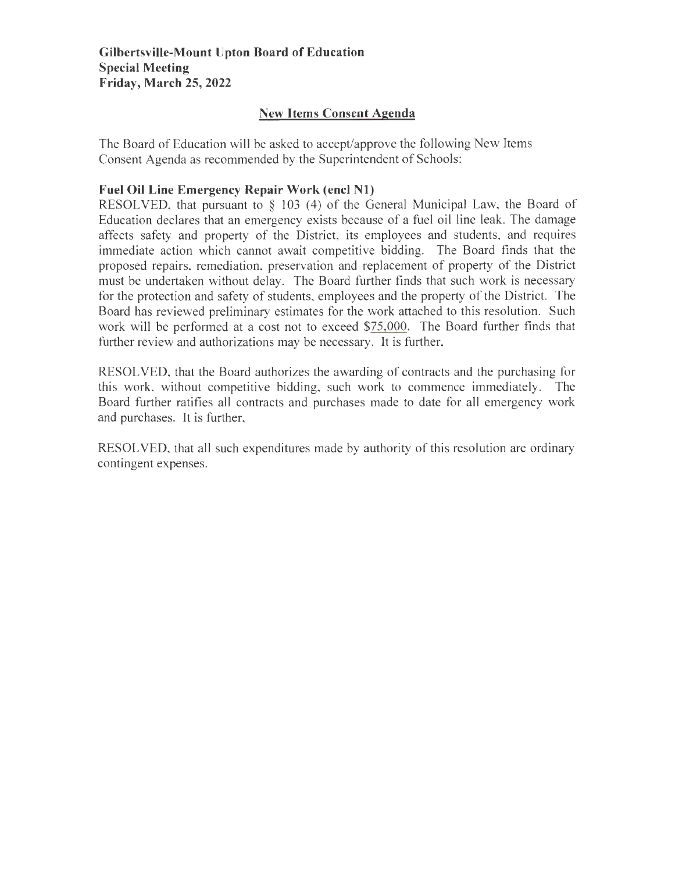# **New Items Consent Agenda**

The Board of Education will be asked to accept/approve the following New Items Consent Agenda as recommended by the Superintendent of Schools:

# **Fuel Oil Line Emergency Repair Work (encl Nl)**

RESOLVED, that pursuant to  $\S$  103 (4) of the General Municipal Law, the Board of Education declares that an emergency exists because of a fuel oil line leak. The damage affects safety and property of the District, its employees and students, and requires immediate action which cannot await competitive bidding. The Board finds that the proposed repairs, remediation, preservation and replacement of property of the District must be undertaken without delay. The Board further finds that such work is necessary for the protection and safety of students, employees and the property of the District. The Board has reviewed preliminary estimates for the work attached to this resolution. Such work will be performed at a cost not to exceed \$75,000. The Board further finds that further review and authorizations may be necessary. It is further,

RESOLVED, that the Board authorizes the awarding of contracts and the purchasing for this work, without competitive bidding, such work to commence immediately. The Board further ratifies all contracts and purchases made to date for all emergency work and purchases. It is further,

RESOLVED, that all such expenditures made by authority of this resolution are ordinary contingent expenses.